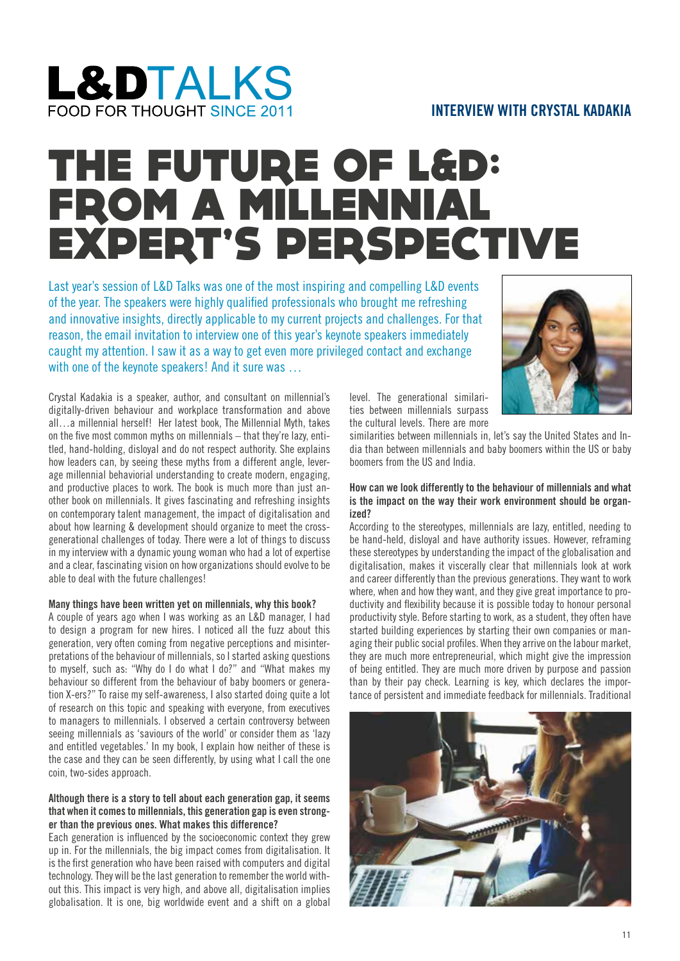## **L&DTALKS** FOOD FOR THOUGHT SINCE 2011

### **INTERVIEW WITH CRYSTAL KADAKIA**

# THE FUTURE OF L&D: FROM A MILLENNIAL FROM A MILLENNIAL<br>EXPERT'S PERSPECTIVE

Last year's session of L&D Talks was one of the most inspiring and compelling L&D events of the year. The speakers were highly qualified professionals who brought me refreshing and innovative insights, directly applicable to my current projects and challenges. For that reason, the email invitation to interview one of this year's keynote speakers immediately caught my attention. I saw it as a way to get even more privileged contact and exchange with one of the keynote speakers! And it sure was ...



#### **Many things have been written yet on millennials, why this book?**

A couple of years ago when I was working as an L&D manager, I had to design a program for new hires. I noticed all the fuzz about this generation, very often coming from negative perceptions and misinterpretations of the behaviour of millennials, so I started asking questions to myself, such as: "Why do I do what I do?" and "What makes my behaviour so different from the behaviour of baby boomers or generation X-ers?" To raise my self-awareness, I also started doing quite a lot of research on this topic and speaking with everyone, from executives to managers to millennials. I observed a certain controversy between seeing millennials as 'saviours of the world' or consider them as 'lazy and entitled vegetables.' In my book, I explain how neither of these is the case and they can be seen differently, by using what I call the one coin, two-sides approach.

#### **Although there is a story to tell about each generation gap, it seems that when it comes to millennials, this generation gap is even stronger than the previous ones. What makes this difference?**

Each generation is influenced by the socioeconomic context they grew up in. For the millennials, the big impact comes from digitalisation. It is the first generation who have been raised with computers and digital technology. They will be the last generation to remember the world without this. This impact is very high, and above all, digitalisation implies globalisation. It is one, big worldwide event and a shift on a global

level. The generational similarities between millennials surpass the cultural levels. There are more

similarities between millennials in, let's say the United States and India than between millennials and baby boomers within the US or baby boomers from the US and India.

#### **How can we look differently to the behaviour of millennials and what is the impact on the way their work environment should be organized?**

According to the stereotypes, millennials are lazy, entitled, needing to be hand-held, disloyal and have authority issues. However, reframing these stereotypes by understanding the impact of the globalisation and digitalisation, makes it viscerally clear that millennials look at work and career differently than the previous generations. They want to work where, when and how they want, and they give great importance to productivity and flexibility because it is possible today to honour personal productivity style. Before starting to work, as a student, they often have started building experiences by starting their own companies or managing their public social profiles. When they arrive on the labour market, they are much more entrepreneurial, which might give the impression of being entitled. They are much more driven by purpose and passion than by their pay check. Learning is key, which declares the importance of persistent and immediate feedback for millennials. Traditional